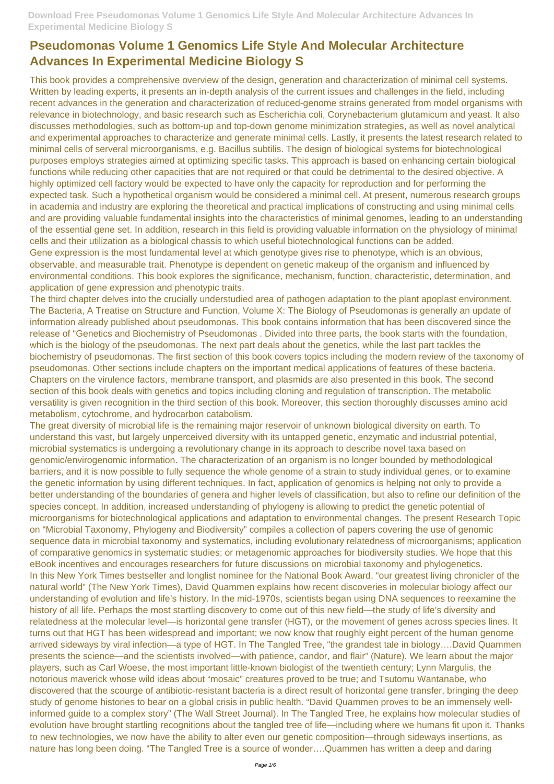This book provides a comprehensive overview of the design, generation and characterization of minimal cell systems. Written by leading experts, it presents an in-depth analysis of the current issues and challenges in the field, including recent advances in the generation and characterization of reduced-genome strains generated from model organisms with relevance in biotechnology, and basic research such as Escherichia coli, Corynebacterium glutamicum and yeast. It also discusses methodologies, such as bottom-up and top-down genome minimization strategies, as well as novel analytical and experimental approaches to characterize and generate minimal cells. Lastly, it presents the latest research related to minimal cells of serveral microorganisms, e.g. Bacillus subtilis. The design of biological systems for biotechnological purposes employs strategies aimed at optimizing specific tasks. This approach is based on enhancing certain biological functions while reducing other capacities that are not required or that could be detrimental to the desired objective. A highly optimized cell factory would be expected to have only the capacity for reproduction and for performing the expected task. Such a hypothetical organism would be considered a minimal cell. At present, numerous research groups in academia and industry are exploring the theoretical and practical implications of constructing and using minimal cells and are providing valuable fundamental insights into the characteristics of minimal genomes, leading to an understanding of the essential gene set. In addition, research in this field is providing valuable information on the physiology of minimal cells and their utilization as a biological chassis to which useful biotechnological functions can be added. Gene expression is the most fundamental level at which genotype gives rise to phenotype, which is an obvious, observable, and measurable trait. Phenotype is dependent on genetic makeup of the organism and influenced by

environmental conditions. This book explores the significance, mechanism, function, characteristic, determination, and application of gene expression and phenotypic traits.

The third chapter delves into the crucially understudied area of pathogen adaptation to the plant apoplast environment. The Bacteria, A Treatise on Structure and Function, Volume X: The Biology of Pseudomonas is generally an update of information already published about pseudomonas. This book contains information that has been discovered since the release of "Genetics and Biochemistry of Pseudomonas . Divided into three parts, the book starts with the foundation, which is the biology of the pseudomonas. The next part deals about the genetics, while the last part tackles the biochemistry of pseudomonas. The first section of this book covers topics including the modern review of the taxonomy of pseudomonas. Other sections include chapters on the important medical applications of features of these bacteria. Chapters on the virulence factors, membrane transport, and plasmids are also presented in this book. The second section of this book deals with genetics and topics including cloning and regulation of transcription. The metabolic versatility is given recognition in the third section of this book. Moreover, this section thoroughly discusses amino acid metabolism, cytochrome, and hydrocarbon catabolism.

The great diversity of microbial life is the remaining major reservoir of unknown biological diversity on earth. To understand this vast, but largely unperceived diversity with its untapped genetic, enzymatic and industrial potential, microbial systematics is undergoing a revolutionary change in its approach to describe novel taxa based on genomic/envirogenomic information. The characterization of an organism is no longer bounded by methodological barriers, and it is now possible to fully sequence the whole genome of a strain to study individual genes, or to examine the genetic information by using different techniques. In fact, application of genomics is helping not only to provide a better understanding of the boundaries of genera and higher levels of classification, but also to refine our definition of the species concept. In addition, increased understanding of phylogeny is allowing to predict the genetic potential of microorganisms for biotechnological applications and adaptation to environmental changes. The present Research Topic on "Microbial Taxonomy, Phylogeny and Biodiversity" compiles a collection of papers covering the use of genomic sequence data in microbial taxonomy and systematics, including evolutionary relatedness of microorganisms; application of comparative genomics in systematic studies; or metagenomic approaches for biodiversity studies. We hope that this eBook incentives and encourages researchers for future discussions on microbial taxonomy and phylogenetics. In this New York Times bestseller and longlist nominee for the National Book Award, "our greatest living chronicler of the natural world" (The New York Times), David Quammen explains how recent discoveries in molecular biology affect our understanding of evolution and life's history. In the mid-1970s, scientists began using DNA sequences to reexamine the history of all life. Perhaps the most startling discovery to come out of this new field—the study of life's diversity and relatedness at the molecular level—is horizontal gene transfer (HGT), or the movement of genes across species lines. It turns out that HGT has been widespread and important; we now know that roughly eight percent of the human genome arrived sideways by viral infection—a type of HGT. In The Tangled Tree, "the grandest tale in biology….David Quammen presents the science—and the scientists involved—with patience, candor, and flair" (Nature). We learn about the major players, such as Carl Woese, the most important little-known biologist of the twentieth century; Lynn Margulis, the notorious maverick whose wild ideas about "mosaic" creatures proved to be true; and Tsutomu Wantanabe, who discovered that the scourge of antibiotic-resistant bacteria is a direct result of horizontal gene transfer, bringing the deep study of genome histories to bear on a global crisis in public health. "David Quammen proves to be an immensely wellinformed guide to a complex story" (The Wall Street Journal). In The Tangled Tree, he explains how molecular studies of evolution have brought startling recognitions about the tangled tree of life—including where we humans fit upon it. Thanks to new technologies, we now have the ability to alter even our genetic composition—through sideways insertions, as nature has long been doing. "The Tangled Tree is a source of wonder….Quammen has written a deep and daring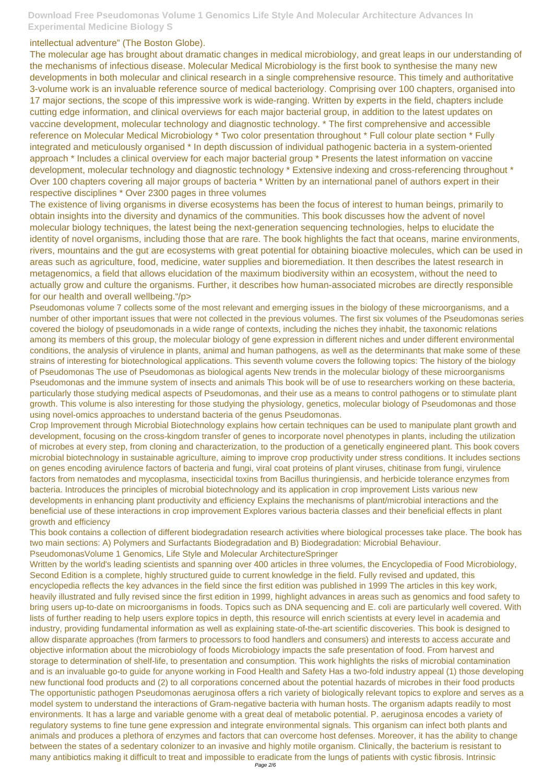#### intellectual adventure" (The Boston Globe).

The molecular age has brought about dramatic changes in medical microbiology, and great leaps in our understanding of the mechanisms of infectious disease. Molecular Medical Microbiology is the first book to synthesise the many new developments in both molecular and clinical research in a single comprehensive resource. This timely and authoritative 3-volume work is an invaluable reference source of medical bacteriology. Comprising over 100 chapters, organised into 17 major sections, the scope of this impressive work is wide-ranging. Written by experts in the field, chapters include cutting edge information, and clinical overviews for each major bacterial group, in addition to the latest updates on vaccine development, molecular technology and diagnostic technology. \* The first comprehensive and accessible reference on Molecular Medical Microbiology \* Two color presentation throughout \* Full colour plate section \* Fully integrated and meticulously organised \* In depth discussion of individual pathogenic bacteria in a system-oriented approach \* Includes a clinical overview for each major bacterial group \* Presents the latest information on vaccine development, molecular technology and diagnostic technology \* Extensive indexing and cross-referencing throughout \* Over 100 chapters covering all major groups of bacteria \* Written by an international panel of authors expert in their respective disciplines \* Over 2300 pages in three volumes

The existence of living organisms in diverse ecosystems has been the focus of interest to human beings, primarily to obtain insights into the diversity and dynamics of the communities. This book discusses how the advent of novel molecular biology techniques, the latest being the next-generation sequencing technologies, helps to elucidate the identity of novel organisms, including those that are rare. The book highlights the fact that oceans, marine environments, rivers, mountains and the gut are ecosystems with great potential for obtaining bioactive molecules, which can be used in areas such as agriculture, food, medicine, water supplies and bioremediation. It then describes the latest research in metagenomics, a field that allows elucidation of the maximum biodiversity within an ecosystem, without the need to actually grow and culture the organisms. Further, it describes how human-associated microbes are directly responsible for our health and overall wellbeing."/p>

Pseudomonas volume 7 collects some of the most relevant and emerging issues in the biology of these microorganisms, and a number of other important issues that were not collected in the previous volumes. The first six volumes of the Pseudomonas series covered the biology of pseudomonads in a wide range of contexts, including the niches they inhabit, the taxonomic relations among its members of this group, the molecular biology of gene expression in different niches and under different environmental conditions, the analysis of virulence in plants, animal and human pathogens, as well as the determinants that make some of these strains of interesting for biotechnological applications. This seventh volume covers the following topics: The history of the biology of Pseudomonas The use of Pseudomonas as biological agents New trends in the molecular biology of these microorganisms Pseudomonas and the immune system of insects and animals This book will be of use to researchers working on these bacteria, particularly those studying medical aspects of Pseudomonas, and their use as a means to control pathogens or to stimulate plant growth. This volume is also interesting for those studying the physiology, genetics, molecular biology of Pseudomonas and those using novel-omics approaches to understand bacteria of the genus Pseudomonas.

Crop Improvement through Microbial Biotechnology explains how certain techniques can be used to manipulate plant growth and development, focusing on the cross-kingdom transfer of genes to incorporate novel phenotypes in plants, including the utilization of microbes at every step, from cloning and characterization, to the production of a genetically engineered plant. This book covers microbial biotechnology in sustainable agriculture, aiming to improve crop productivity under stress conditions. It includes sections on genes encoding avirulence factors of bacteria and fungi, viral coat proteins of plant viruses, chitinase from fungi, virulence factors from nematodes and mycoplasma, insecticidal toxins from Bacillus thuringiensis, and herbicide tolerance enzymes from bacteria. Introduces the principles of microbial biotechnology and its application in crop improvement Lists various new developments in enhancing plant productivity and efficiency Explains the mechanisms of plant/microbial interactions and the beneficial use of these interactions in crop improvement Explores various bacteria classes and their beneficial effects in plant growth and efficiency

This book contains a collection of different biodegradation research activities where biological processes take place. The book has two main sections: A) Polymers and Surfactants Biodegradation and B) Biodegradation: Microbial Behaviour.

PseudomonasVolume 1 Genomics, Life Style and Molecular ArchitectureSpringer

Written by the world's leading scientists and spanning over 400 articles in three volumes, the Encyclopedia of Food Microbiology, Second Edition is a complete, highly structured guide to current knowledge in the field. Fully revised and updated, this encyclopedia reflects the key advances in the field since the first edition was published in 1999 The articles in this key work,

heavily illustrated and fully revised since the first edition in 1999, highlight advances in areas such as genomics and food safety to bring users up-to-date on microorganisms in foods. Topics such as DNA sequencing and E. coli are particularly well covered. With lists of further reading to help users explore topics in depth, this resource will enrich scientists at every level in academia and industry, providing fundamental information as well as explaining state-of-the-art scientific discoveries. This book is designed to allow disparate approaches (from farmers to processors to food handlers and consumers) and interests to access accurate and objective information about the microbiology of foods Microbiology impacts the safe presentation of food. From harvest and storage to determination of shelf-life, to presentation and consumption. This work highlights the risks of microbial contamination and is an invaluable go-to guide for anyone working in Food Health and Safety Has a two-fold industry appeal (1) those developing new functional food products and (2) to all corporations concerned about the potential hazards of microbes in their food products The opportunistic pathogen Pseudomonas aeruginosa offers a rich variety of biologically relevant topics to explore and serves as a model system to understand the interactions of Gram-negative bacteria with human hosts. The organism adapts readily to most environments. It has a large and variable genome with a great deal of metabolic potential. P. aeruginosa encodes a variety of regulatory systems to fine tune gene expression and integrate environmental signals. This organism can infect both plants and animals and produces a plethora of enzymes and factors that can overcome host defenses. Moreover, it has the ability to change between the states of a sedentary colonizer to an invasive and highly motile organism. Clinically, the bacterium is resistant to many antibiotics making it difficult to treat and impossible to eradicate from the lungs of patients with cystic fibrosis. Intrinsic Page 2/6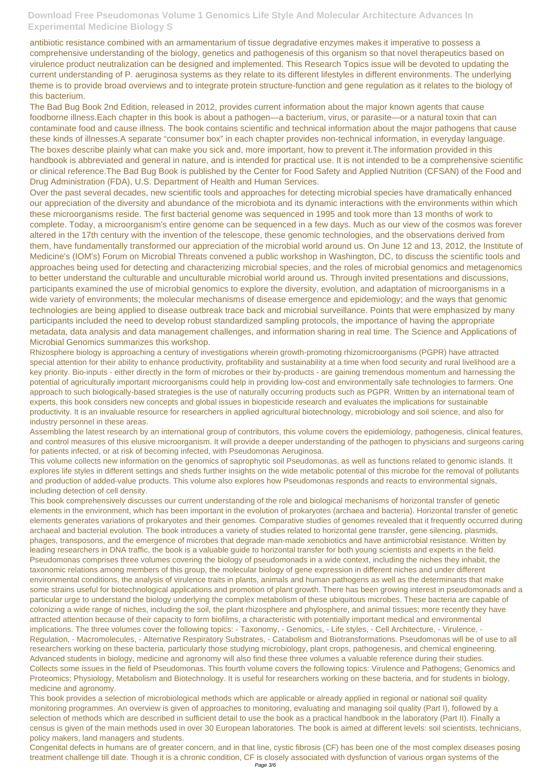antibiotic resistance combined with an armamentarium of tissue degradative enzymes makes it imperative to possess a comprehensive understanding of the biology, genetics and pathogenesis of this organism so that novel therapeutics based on virulence product neutralization can be designed and implemented. This Research Topics issue will be devoted to updating the current understanding of P. aeruginosa systems as they relate to its different lifestyles in different environments. The underlying theme is to provide broad overviews and to integrate protein structure-function and gene regulation as it relates to the biology of this bacterium.

The Bad Bug Book 2nd Edition, released in 2012, provides current information about the major known agents that cause foodborne illness.Each chapter in this book is about a pathogen—a bacterium, virus, or parasite—or a natural toxin that can contaminate food and cause illness. The book contains scientific and technical information about the major pathogens that cause these kinds of illnesses.A separate "consumer box" in each chapter provides non-technical information, in everyday language. The boxes describe plainly what can make you sick and, more important, how to prevent it.The information provided in this handbook is abbreviated and general in nature, and is intended for practical use. It is not intended to be a comprehensive scientific or clinical reference.The Bad Bug Book is published by the Center for Food Safety and Applied Nutrition (CFSAN) of the Food and Drug Administration (FDA), U.S. Department of Health and Human Services.

Over the past several decades, new scientific tools and approaches for detecting microbial species have dramatically enhanced our appreciation of the diversity and abundance of the microbiota and its dynamic interactions with the environments within which these microorganisms reside. The first bacterial genome was sequenced in 1995 and took more than 13 months of work to complete. Today, a microorganism's entire genome can be sequenced in a few days. Much as our view of the cosmos was forever altered in the 17th century with the invention of the telescope, these genomic technologies, and the observations derived from them, have fundamentally transformed our appreciation of the microbial world around us. On June 12 and 13, 2012, the Institute of Medicine's (IOM's) Forum on Microbial Threats convened a public workshop in Washington, DC, to discuss the scientific tools and approaches being used for detecting and characterizing microbial species, and the roles of microbial genomics and metagenomics to better understand the culturable and unculturable microbial world around us. Through invited presentations and discussions, participants examined the use of microbial genomics to explore the diversity, evolution, and adaptation of microorganisms in a wide variety of environments; the molecular mechanisms of disease emergence and epidemiology; and the ways that genomic technologies are being applied to disease outbreak trace back and microbial surveillance. Points that were emphasized by many participants included the need to develop robust standardized sampling protocols, the importance of having the appropriate metadata, data analysis and data management challenges, and information sharing in real time. The Science and Applications of Microbial Genomics summarizes this workshop.

Rhizosphere biology is approaching a century of investigations wherein growth-promoting rhizomicroorganisms (PGPR) have attracted special attention for their ability to enhance productivity, profitability and sustainability at a time when food security and rural livelihood are a key priority. Bio-inputs - either directly in the form of microbes or their by-products - are gaining tremendous momentum and harnessing the potential of agriculturally important microorganisms could help in providing low-cost and environmentally safe technologies to farmers. One approach to such biologically-based strategies is the use of naturally occurring products such as PGPR. Written by an international team of experts, this book considers new concepts and global issues in biopesticide research and evaluates the implications for sustainable productivity. It is an invaluable resource for researchers in applied agricultural biotechnology, microbiology and soil science, and also for industry personnel in these areas.

Assembling the latest research by an international group of contributors, this volume covers the epidemiology, pathogenesis, clinical features, and control measures of this elusive microorganism. It will provide a deeper understanding of the pathogen to physicians and surgeons caring for patients infected, or at risk of becoming infected, with Pseudomonas Aeruginosa.

This volume collects new information on the genomics of saprophytic soil Pseudomonas, as well as functions related to genomic islands. It explores life styles in different settings and sheds further insights on the wide metabolic potential of this microbe for the removal of pollutants and production of added-value products. This volume also explores how Pseudomonas responds and reacts to environmental signals, including detection of cell density.

This book comprehensively discusses our current understanding of the role and biological mechanisms of horizontal transfer of genetic elements in the environment, which has been important in the evolution of prokaryotes (archaea and bacteria). Horizontal transfer of genetic elements generates variations of prokaryotes and their genomes. Comparative studies of genomes revealed that it frequently occurred during archaeal and bacterial evolution. The book introduces a variety of studies related to horizontal gene transfer, gene silencing, plasmids, phages, transposons, and the emergence of microbes that degrade man-made xenobiotics and have antimicrobial resistance. Written by leading researchers in DNA traffic, the book is a valuable guide to horizontal transfer for both young scientists and experts in the field. Pseudomonas comprises three volumes covering the biology of pseudomonads in a wide context, including the niches they inhabit, the taxonomic relations among members of this group, the molecular biology of gene expression in different niches and under different environmental conditions, the analysis of virulence traits in plants, animals and human pathogens as well as the determinants that make some strains useful for biotechnological applications and promotion of plant growth. There has been growing interest in pseudomonads and a particular urge to understand the biology underlying the complex metabolism of these ubiquitous microbes. These bacteria are capable of colonizing a wide range of niches, including the soil, the plant rhizosphere and phylosphere, and animal tissues; more recently they have attracted attention because of their capacity to form biofilms, a characteristic with potentially important medical and environmental implications. The three volumes cover the following topics: - Taxonomy, - Genomics, - Life styles, - Cell Architecture, - Virulence, - Regulation, - Macromolecules, - Alternative Respiratory Substrates, - Catabolism and Biotransformations. Pseudomonas will be of use to all researchers working on these bacteria, particularly those studying microbiology, plant crops, pathogenesis, and chemical engineering. Advanced students in biology, medicine and agronomy will also find these three volumes a valuable reference during their studies. Collects some issues in the field of Pseudomonas. This fourth volume covers the following topics: Virulence and Pathogens; Genomics and Proteomics; Physiology, Metabolism and Biotechnology. It is useful for researchers working on these bacteria, and for students in biology, medicine and agronomy. This book provides a selection of microbiological methods which are applicable or already applied in regional or national soil quality monitoring programmes. An overview is given of approaches to monitoring, evaluating and managing soil quality (Part I), followed by a selection of methods which are described in sufficient detail to use the book as a practical handbook in the laboratory (Part II). Finally a census is given of the main methods used in over 30 European laboratories. The book is aimed at different levels: soil scientists, technicians, policy makers, land managers and students.

Congenital defects in humans are of greater concern, and in that line, cystic fibrosis (CF) has been one of the most complex diseases posing treatment challenge till date. Though it is a chronic condition, CF is closely associated with dysfunction of various organ systems of the Page 3/6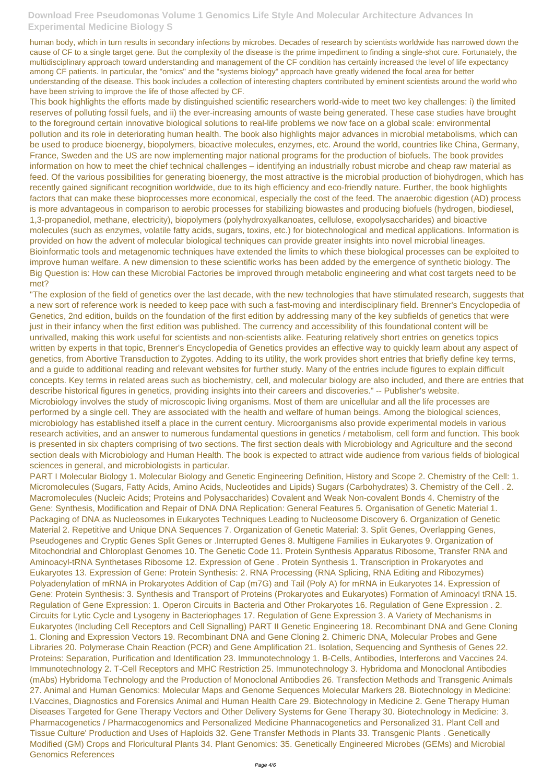human body, which in turn results in secondary infections by microbes. Decades of research by scientists worldwide has narrowed down the cause of CF to a single target gene. But the complexity of the disease is the prime impediment to finding a single-shot cure. Fortunately, the multidisciplinary approach toward understanding and management of the CF condition has certainly increased the level of life expectancy among CF patients. In particular, the "omics" and the "systems biology" approach have greatly widened the focal area for better understanding of the disease. This book includes a collection of interesting chapters contributed by eminent scientists around the world who have been striving to improve the life of those affected by CF.

This book highlights the efforts made by distinguished scientific researchers world-wide to meet two key challenges: i) the limited reserves of polluting fossil fuels, and ii) the ever-increasing amounts of waste being generated. These case studies have brought to the foreground certain innovative biological solutions to real-life problems we now face on a global scale: environmental pollution and its role in deteriorating human health. The book also highlights major advances in microbial metabolisms, which can be used to produce bioenergy, biopolymers, bioactive molecules, enzymes, etc. Around the world, countries like China, Germany, France, Sweden and the US are now implementing major national programs for the production of biofuels. The book provides information on how to meet the chief technical challenges – identifying an industrially robust microbe and cheap raw material as feed. Of the various possibilities for generating bioenergy, the most attractive is the microbial production of biohydrogen, which has recently gained significant recognition worldwide, due to its high efficiency and eco-friendly nature. Further, the book highlights factors that can make these bioprocesses more economical, especially the cost of the feed. The anaerobic digestion (AD) process is more advantageous in comparison to aerobic processes for stabilizing biowastes and producing biofuels (hydrogen, biodiesel, 1,3-propanediol, methane, electricity), biopolymers (polyhydroxyalkanoates, cellulose, exopolysaccharides) and bioactive molecules (such as enzymes, volatile fatty acids, sugars, toxins, etc.) for biotechnological and medical applications. Information is provided on how the advent of molecular biological techniques can provide greater insights into novel microbial lineages. Bioinformatic tools and metagenomic techniques have extended the limits to which these biological processes can be exploited to improve human welfare. A new dimension to these scientific works has been added by the emergence of synthetic biology. The Big Question is: How can these Microbial Factories be improved through metabolic engineering and what cost targets need to be met?

"The explosion of the field of genetics over the last decade, with the new technologies that have stimulated research, suggests that a new sort of reference work is needed to keep pace with such a fast-moving and interdisciplinary field. Brenner's Encyclopedia of Genetics, 2nd edition, builds on the foundation of the first edition by addressing many of the key subfields of genetics that were just in their infancy when the first edition was published. The currency and accessibility of this foundational content will be unrivalled, making this work useful for scientists and non-scientists alike. Featuring relatively short entries on genetics topics written by experts in that topic, Brenner's Encyclopedia of Genetics provides an effective way to quickly learn about any aspect of genetics, from Abortive Transduction to Zygotes. Adding to its utility, the work provides short entries that briefly define key terms, and a guide to additional reading and relevant websites for further study. Many of the entries include figures to explain difficult concepts. Key terms in related areas such as biochemistry, cell, and molecular biology are also included, and there are entries that describe historical figures in genetics, providing insights into their careers and discoveries." -- Publisher's website. Microbiology involves the study of microscopic living organisms. Most of them are unicellular and all the life processes are performed by a single cell. They are associated with the health and welfare of human beings. Among the biological sciences, microbiology has established itself a place in the current century. Microorganisms also provide experimental models in various research activities, and an answer to numerous fundamental questions in genetics / metabolism, cell form and function. This book is presented in six chapters comprising of two sections. The first section deals with Microbiology and Agriculture and the second section deals with Microbiology and Human Health. The book is expected to attract wide audience from various fields of biological sciences in general, and microbiologists in particular.

PART I Molecular Biology 1. Molecular Biology and Genetic Engineering Definition, History and Scope 2. Chemistry of the Cell: 1. Micromolecules (Sugars, Fatty Acids, Amino Acids, Nucleotides and Lipids) Sugars (Carbohydrates) 3. Chemistry of the Cell . 2. Macromolecules (Nucleic Acids; Proteins and Polysaccharides) Covalent and Weak Non-covalent Bonds 4. Chemistry of the Gene: Synthesis, Modification and Repair of DNA DNA Replication: General Features 5. Organisation of Genetic Material 1. Packaging of DNA as Nucleosomes in Eukaryotes Techniques Leading to Nucleosome Discovery 6. Organization of Genetic Material 2. Repetitive and Unique DNA Sequences 7. Organization of Genetic Material: 3. Split Genes, Overlapping Genes, Pseudogenes and Cryptic Genes Split Genes or .Interrupted Genes 8. Multigene Families in Eukaryotes 9. Organization of Mitochondrial and Chloroplast Genomes 10. The Genetic Code 11. Protein Synthesis Apparatus Ribosome, Transfer RNA and Aminoacyl-tRNA Synthetases Ribosome 12. Expression of Gene . Protein Synthesis 1. Transcription in Prokaryotes and Eukaryotes 13. Expression of Gene: Protein Synthesis: 2. RNA Processing (RNA Splicing, RNA Editing and Ribozymes) Polyadenylation of mRNA in Prokaryotes Addition of Cap (m7G) and Tail (Poly A) for mRNA in Eukaryotes 14. Expression of Gene: Protein Synthesis: 3. Synthesis and Transport of Proteins (Prokaryotes and Eukaryotes) Formation of Aminoacyl tRNA 15. Regulation of Gene Expression: 1. Operon Circuits in Bacteria and Other Prokaryotes 16. Regulation of Gene Expression . 2. Circuits for Lytic Cycle and Lysogeny in Bacteriophages 17. Regulation of Gene Expression 3. A Variety of Mechanisms in Eukaryotes (Including Cell Receptors and Cell Signalling) PART II Genetic Engineering 18. Recombinant DNA and Gene Cloning 1. Cloning and Expression Vectors 19. Recombinant DNA and Gene Cloning 2. Chimeric DNA, Molecular Probes and Gene Libraries 20. Polymerase Chain Reaction (PCR) and Gene Amplification 21. Isolation, Sequencing and Synthesis of Genes 22. Proteins: Separation, Purification and Identification 23. Immunotechnology 1. B-Cells, Antibodies, Interferons and Vaccines 24. Immunotechnology 2. T-Cell Receptors and MHC Restriction 25. Immunotechnology 3. Hybridoma and Monoclonal Antibodies (mAbs) Hybridoma Technology and the Production of Monoclonal Antibodies 26. Transfection Methods and Transgenic Animals 27. Animal and Human Genomics: Molecular Maps and Genome Sequences Molecular Markers 28. Biotechnology in Medicine: l.Vaccines, Diagnostics and Forensics Animal and Human Health Care 29. Biotechnology in Medicine 2. Gene Therapy Human Diseases Targeted for Gene Therapy Vectors and Other Delivery Systems for Gene Therapy 30. Biotechnology in Medicine: 3. Pharmacogenetics / Pharmacogenomics and Personalized Medicine Phannacogenetics and Personalized 31. Plant Cell and Tissue Culture' Production and Uses of Haploids 32. Gene Transfer Methods in Plants 33. Transgenic Plants . Genetically Modified (GM) Crops and Floricultural Plants 34. Plant Genomics: 35. Genetically Engineered Microbes (GEMs) and Microbial Genomics References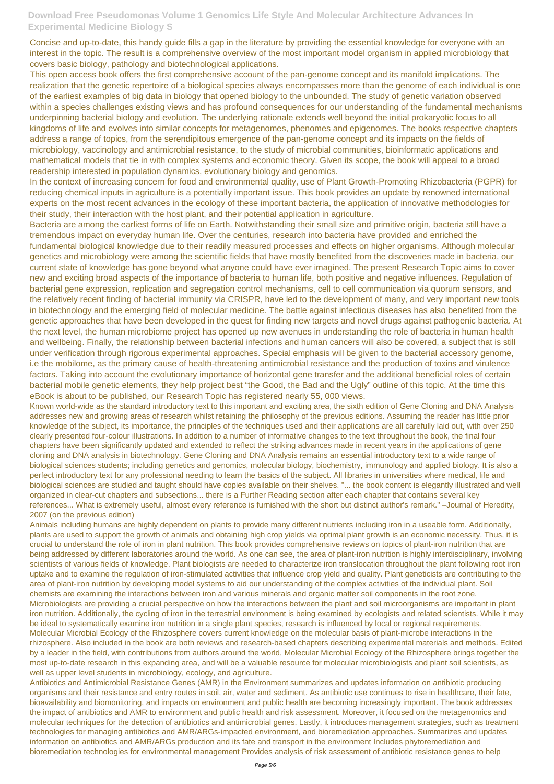Concise and up-to-date, this handy guide fills a gap in the literature by providing the essential knowledge for everyone with an interest in the topic. The result is a comprehensive overview of the most important model organism in applied microbiology that covers basic biology, pathology and biotechnological applications.

This open access book offers the first comprehensive account of the pan-genome concept and its manifold implications. The realization that the genetic repertoire of a biological species always encompasses more than the genome of each individual is one of the earliest examples of big data in biology that opened biology to the unbounded. The study of genetic variation observed within a species challenges existing views and has profound consequences for our understanding of the fundamental mechanisms underpinning bacterial biology and evolution. The underlying rationale extends well beyond the initial prokaryotic focus to all kingdoms of life and evolves into similar concepts for metagenomes, phenomes and epigenomes. The books respective chapters address a range of topics, from the serendipitous emergence of the pan-genome concept and its impacts on the fields of microbiology, vaccinology and antimicrobial resistance, to the study of microbial communities, bioinformatic applications and mathematical models that tie in with complex systems and economic theory. Given its scope, the book will appeal to a broad readership interested in population dynamics, evolutionary biology and genomics.

In the context of increasing concern for food and environmental quality, use of Plant Growth-Promoting Rhizobacteria (PGPR) for reducing chemical inputs in agriculture is a potentially important issue. This book provides an update by renowned international experts on the most recent advances in the ecology of these important bacteria, the application of innovative methodologies for their study, their interaction with the host plant, and their potential application in agriculture.

Bacteria are among the earliest forms of life on Earth. Notwithstanding their small size and primitive origin, bacteria still have a tremendous impact on everyday human life. Over the centuries, research into bacteria have provided and enriched the fundamental biological knowledge due to their readily measured processes and effects on higher organisms. Although molecular genetics and microbiology were among the scientific fields that have mostly benefited from the discoveries made in bacteria, our current state of knowledge has gone beyond what anyone could have ever imagined. The present Research Topic aims to cover new and exciting broad aspects of the importance of bacteria to human life, both positive and negative influences. Regulation of bacterial gene expression, replication and segregation control mechanisms, cell to cell communication via quorum sensors, and the relatively recent finding of bacterial immunity via CRISPR, have led to the development of many, and very important new tools in biotechnology and the emerging field of molecular medicine. The battle against infectious diseases has also benefited from the genetic approaches that have been developed in the quest for finding new targets and novel drugs against pathogenic bacteria. At the next level, the human microbiome project has opened up new avenues in understanding the role of bacteria in human health and wellbeing. Finally, the relationship between bacterial infections and human cancers will also be covered, a subject that is still under verification through rigorous experimental approaches. Special emphasis will be given to the bacterial accessory genome, i.e the mobilome, as the primary cause of health-threatening antimicrobial resistance and the production of toxins and virulence factors. Taking into account the evolutionary importance of horizontal gene transfer and the additional beneficial roles of certain bacterial mobile genetic elements, they help project best "the Good, the Bad and the Ugly" outline of this topic. At the time this eBook is about to be published, our Research Topic has registered nearly 55, 000 views.

Known world-wide as the standard introductory text to this important and exciting area, the sixth edition of Gene Cloning and DNA Analysis addresses new and growing areas of research whilst retaining the philosophy of the previous editions. Assuming the reader has little prior knowledge of the subject, its importance, the principles of the techniques used and their applications are all carefully laid out, with over 250 clearly presented four-colour illustrations. In addition to a number of informative changes to the text throughout the book, the final four chapters have been significantly updated and extended to reflect the striking advances made in recent years in the applications of gene cloning and DNA analysis in biotechnology. Gene Cloning and DNA Analysis remains an essential introductory text to a wide range of biological sciences students; including genetics and genomics, molecular biology, biochemistry, immunology and applied biology. It is also a perfect introductory text for any professional needing to learn the basics of the subject. All libraries in universities where medical, life and biological sciences are studied and taught should have copies available on their shelves. "... the book content is elegantly illustrated and well organized in clear-cut chapters and subsections... there is a Further Reading section after each chapter that contains several key references... What is extremely useful, almost every reference is furnished with the short but distinct author's remark." –Journal of Heredity, 2007 (on the previous edition)

Animals including humans are highly dependent on plants to provide many different nutrients including iron in a useable form. Additionally, plants are used to support the growth of animals and obtaining high crop yields via optimal plant growth is an economic necessity. Thus, it is crucial to understand the role of iron in plant nutrition. This book provides comprehensive reviews on topics of plant-iron nutrition that are being addressed by different laboratories around the world. As one can see, the area of plant-iron nutrition is highly interdisciplinary, involving scientists of various fields of knowledge. Plant biologists are needed to characterize iron translocation throughout the plant following root iron uptake and to examine the regulation of iron-stimulated activities that influence crop yield and quality. Plant geneticists are contributing to the area of plant-iron nutrition by developing model systems to aid our understanding of the complex activities of the individual plant. Soil chemists are examining the interactions between iron and various minerals and organic matter soil components in the root zone. Microbiologists are providing a crucial perspective on how the interactions between the plant and soil microorganisms are important in plant iron nutrition. Additionally, the cycling of iron in the terrestrial environment is being examined by ecologists and related scientists. While it may be ideal to systematically examine iron nutrition in a single plant species, research is influenced by local or regional requirements. Molecular Microbial Ecology of the Rhizosphere covers current knowledge on the molecular basis of plant-microbe interactions in the rhizosphere. Also included in the book are both reviews and research-based chapters describing experimental materials and methods. Edited by a leader in the field, with contributions from authors around the world, Molecular Microbial Ecology of the Rhizosphere brings together the most up-to-date research in this expanding area, and will be a valuable resource for molecular microbiologists and plant soil scientists, as well as upper level students in microbiology, ecology, and agriculture. Antibiotics and Antimicrobial Resistance Genes (AMR) in the Environment summarizes and updates information on antibiotic producing organisms and their resistance and entry routes in soil, air, water and sediment. As antibiotic use continues to rise in healthcare, their fate, bioavailability and biomonitoring, and impacts on environment and public health are becoming increasingly important. The book addresses the impact of antibiotics and AMR to environment and public health and risk assessment. Moreover, it focused on the metagenomics and molecular techniques for the detection of antibiotics and antimicrobial genes. Lastly, it introduces management strategies, such as treatment technologies for managing antibiotics and AMR/ARGs-impacted environment, and bioremediation approaches. Summarizes and updates information on antibiotics and AMR/ARGs production and its fate and transport in the environment Includes phytoremediation and bioremediation technologies for environmental management Provides analysis of risk assessment of antibiotic resistance genes to help